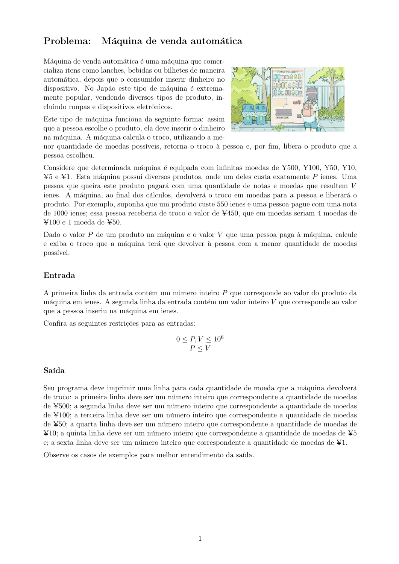# Problema: Máquina de venda automática

Máquina de venda automática é uma máquina que comercializa itens como lanches, bebidas ou bilhetes de maneira automática, depois que o consumidor inserir dinheiro no dispositivo. No Japão este tipo de máquina é extremamente popular, vendendo diversos tipos de produto, incluindo roupas e dispositivos eletrônicos.

Este tipo de máquina funciona da seguinte forma: assim que a pessoa escolhe o produto, ela deve inserir o dinheiro na máquina. A máquina calcula o troco, utilizando a me-



nor quantidade de moedas possíveis, retorna o troco à pessoa e, por fim, libera o produto que a pessoa escolheu.

Considere que determinada máquina é equipada com infinitas moedas de ¥500, ¥100, ¥50, ¥10,  $\yen$ 5 e  $\yen$ 1. Esta máquina possui diversos produtos, onde um deles custa exatamente P ienes. Uma pessoa que queira este produto pagar´a com uma quantidade de notas e moedas que resultem V ienes. A máquina, ao final dos cálculos, devolverá o troco em moedas para a pessoa e liberará o produto. Por exemplo, suponha que um produto custe 550 ienes e uma pessoa pague com uma nota de 1000 ienes; essa pessoa receberia de troco o valor de Y450, que em moedas seriam 4 moedas de  $\text{\textless}100$  e 1 moeda de  $\text{\textless}50$ .

Dado o valor  $P$  de um produto na máquina e o valor  $V$  que uma pessoa paga à máquina, calcule e exiba o troco que a máquina terá que devolver à pessoa com a menor quantidade de moedas possível.

### Entrada

A primeira linha da entrada contém um número inteiro  $P$  que corresponde ao valor do produto da máquina em ienes. A segunda linha da entrada contém um valor inteiro  $V$  que corresponde ao valor que a pessoa inseriu na máquina em ienes.

Confira as seguintes restrições para as entradas:

$$
0 \le P, V \le 10^6
$$
  

$$
P \le V
$$

### Saída

Seu programa deve imprimir uma linha para cada quantidade de moeda que a máquina devolverá de troco: a primeira linha deve ser um n´umero inteiro que correspondente a quantidade de moedas de ¥500; a segunda linha deve ser um número inteiro que correspondente a quantidade de moedas de Y100; a terceira linha deve ser um n´umero inteiro que correspondente a quantidade de moedas de ¥50; a quarta linha deve ser um número inteiro que correspondente a quantidade de moedas de  $\text{\textsterling}10$ ; a quinta linha deve ser um número inteiro que correspondente a quantidade de moedas de  $\text{\textless}5$ e; a sexta linha deve ser um número inteiro que correspondente a quantidade de moedas de  $\yen 1$ .

Observe os casos de exemplos para melhor entendimento da saída.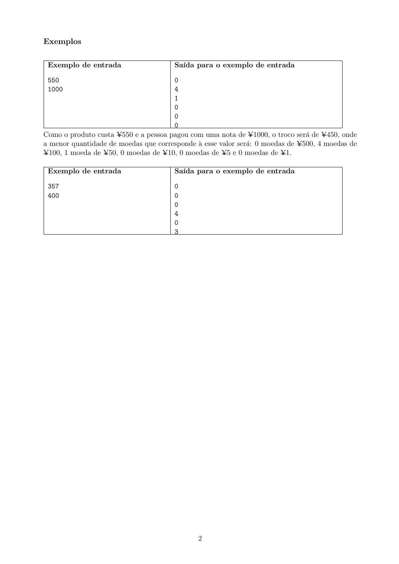## Exemplos

| Exemplo de entrada | Saída para o exemplo de entrada |
|--------------------|---------------------------------|
| 550                | 0                               |
| 1000               | 4                               |
|                    |                                 |
|                    | O                               |
|                    | 0                               |
|                    |                                 |

Como o produto custa ¥550 e a pessoa pagou com uma nota de ¥1000, o troco será de ¥450, onde a menor quantidade de moedas que corresponde à esse valor será: 0 moedas de ¥500, 4 moedas de ¥100, 1 moeda de ¥50, 0 moedas de ¥10, 0 moedas de ¥5 e 0 moedas de ¥1.

| Exemplo de entrada | Saída para o exemplo de entrada |
|--------------------|---------------------------------|
| 357                |                                 |
| 400                |                                 |
|                    |                                 |
|                    |                                 |
|                    |                                 |
|                    |                                 |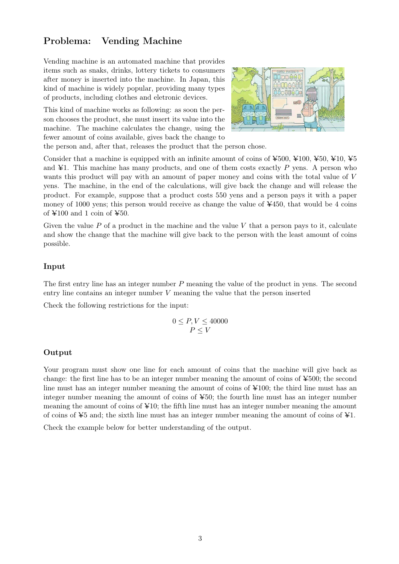## Problema: Vending Machine

Vending machine is an automated machine that provides items such as snaks, drinks, lottery tickets to consumers after money is inserted into the machine. In Japan, this kind of machine is widely popular, providing many types of products, including clothes and eletronic devices.

This kind of machine works as following: as soon the person chooses the product, she must insert its value into the machine. The machine calculates the change, using the fewer amount of coins available, gives back the change to



the person and, after that, releases the product that the person chose.

Consider that a machine is equipped with an infinite amount of coins of  $\yen 500$ ,  $\yen 100$ ,  $\yen 50$ ,  $\yen 10$ ,  $\yen 55$ and  $\yen$ 1. This machine has many products, and one of them costs exactly  $P$  yens. A person who wants this product will pay with an amount of paper money and coins with the total value of V yens. The machine, in the end of the calculations, will give back the change and will release the product. For example, suppose that a product costs 550 yens and a person pays it with a paper money of 1000 yens; this person would receive as change the value of ¥450, that would be 4 coins of  $\text{\textless}100$  and 1 coin of  $\text{\textless}50$ .

Given the value  $P$  of a product in the machine and the value  $V$  that a person pays to it, calculate and show the change that the machine will give back to the person with the least amount of coins possible.

#### Input

The first entry line has an integer number P meaning the value of the product in yens. The second entry line contains an integer number V meaning the value that the person inserted

Check the following restrictions for the input:

$$
0 \le P, V \le 40000
$$
  

$$
P \le V
$$

#### Output

Your program must show one line for each amount of coins that the machine will give back as change: the first line has to be an integer number meaning the amount of coins of  $\text{\textless}500$ ; the second line must has an integer number meaning the amount of coins of  $\text{\textsterling}100$ ; the third line must has an integer number meaning the amount of coins of  $\yen 50$ ; the fourth line must has an integer number meaning the amount of coins of  $\angle 10$ ; the fifth line must has an integer number meaning the amount of coins of  $\yen$ 5 and; the sixth line must has an integer number meaning the amount of coins of  $\yen$ 1.

Check the example below for better understanding of the output.